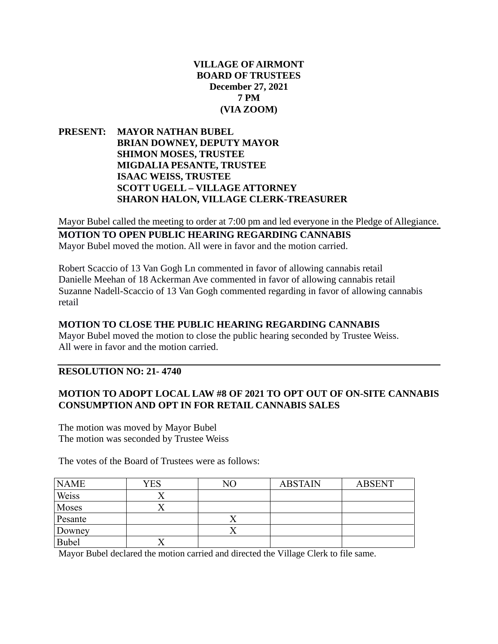## **VILLAGE OF AIRMONT BOARD OF TRUSTEES December 27, 2021 7 PM (VIA ZOOM)**

**PRESENT: MAYOR NATHAN BUBEL BRIAN DOWNEY, DEPUTY MAYOR SHIMON MOSES, TRUSTEE MIGDALIA PESANTE, TRUSTEE ISAAC WEISS, TRUSTEE SCOTT UGELL – VILLAGE ATTORNEY SHARON HALON, VILLAGE CLERK-TREASURER**

Mayor Bubel called the meeting to order at 7:00 pm and led everyone in the Pledge of Allegiance.

### **MOTION TO OPEN PUBLIC HEARING REGARDING CANNABIS** Mayor Bubel moved the motion. All were in favor and the motion carried.

Robert Scaccio of 13 Van Gogh Ln commented in favor of allowing cannabis retail Danielle Meehan of 18 Ackerman Ave commented in favor of allowing cannabis retail Suzanne Nadell-Scaccio of 13 Van Gogh commented regarding in favor of allowing cannabis retail

#### **MOTION TO CLOSE THE PUBLIC HEARING REGARDING CANNABIS**

Mayor Bubel moved the motion to close the public hearing seconded by Trustee Weiss. All were in favor and the motion carried.

# **RESOLUTION NO: 21- 4740**

# **MOTION TO ADOPT LOCAL LAW #8 OF 2021 TO OPT OUT OF ON-SITE CANNABIS CONSUMPTION AND OPT IN FOR RETAIL CANNABIS SALES**

The motion was moved by Mayor Bubel The motion was seconded by Trustee Weiss

The votes of the Board of Trustees were as follows:

| <b>NAME</b>  | YES | NΟ | <b>ABSTAIN</b> | <b>ABSENT</b> |
|--------------|-----|----|----------------|---------------|
| Weiss        |     |    |                |               |
| Moses        |     |    |                |               |
| Pesante      |     |    |                |               |
| Downey       |     |    |                |               |
| <b>Bubel</b> |     |    |                |               |

Mayor Bubel declared the motion carried and directed the Village Clerk to file same.